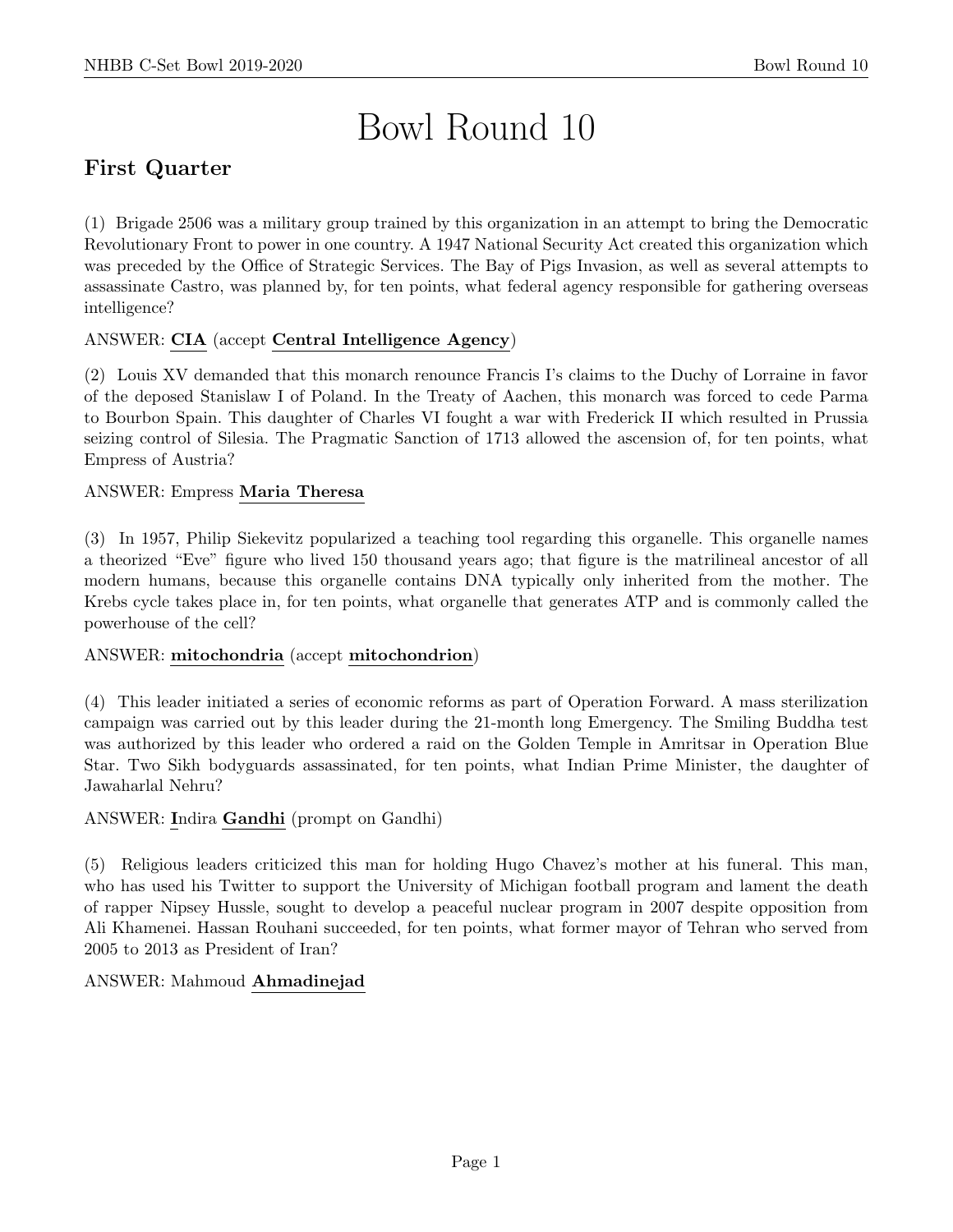# Bowl Round 10

# First Quarter

(1) Brigade 2506 was a military group trained by this organization in an attempt to bring the Democratic Revolutionary Front to power in one country. A 1947 National Security Act created this organization which was preceded by the Office of Strategic Services. The Bay of Pigs Invasion, as well as several attempts to assassinate Castro, was planned by, for ten points, what federal agency responsible for gathering overseas intelligence?

# ANSWER: CIA (accept Central Intelligence Agency)

(2) Louis XV demanded that this monarch renounce Francis I's claims to the Duchy of Lorraine in favor of the deposed Stanislaw I of Poland. In the Treaty of Aachen, this monarch was forced to cede Parma to Bourbon Spain. This daughter of Charles VI fought a war with Frederick II which resulted in Prussia seizing control of Silesia. The Pragmatic Sanction of 1713 allowed the ascension of, for ten points, what Empress of Austria?

# ANSWER: Empress Maria Theresa

(3) In 1957, Philip Siekevitz popularized a teaching tool regarding this organelle. This organelle names a theorized "Eve" figure who lived 150 thousand years ago; that figure is the matrilineal ancestor of all modern humans, because this organelle contains DNA typically only inherited from the mother. The Krebs cycle takes place in, for ten points, what organelle that generates ATP and is commonly called the powerhouse of the cell?

# ANSWER: mitochondria (accept mitochondrion)

(4) This leader initiated a series of economic reforms as part of Operation Forward. A mass sterilization campaign was carried out by this leader during the 21-month long Emergency. The Smiling Buddha test was authorized by this leader who ordered a raid on the Golden Temple in Amritsar in Operation Blue Star. Two Sikh bodyguards assassinated, for ten points, what Indian Prime Minister, the daughter of Jawaharlal Nehru?

# ANSWER: Indira Gandhi (prompt on Gandhi)

(5) Religious leaders criticized this man for holding Hugo Chavez's mother at his funeral. This man, who has used his Twitter to support the University of Michigan football program and lament the death of rapper Nipsey Hussle, sought to develop a peaceful nuclear program in 2007 despite opposition from Ali Khamenei. Hassan Rouhani succeeded, for ten points, what former mayor of Tehran who served from 2005 to 2013 as President of Iran?

# ANSWER: Mahmoud Ahmadinejad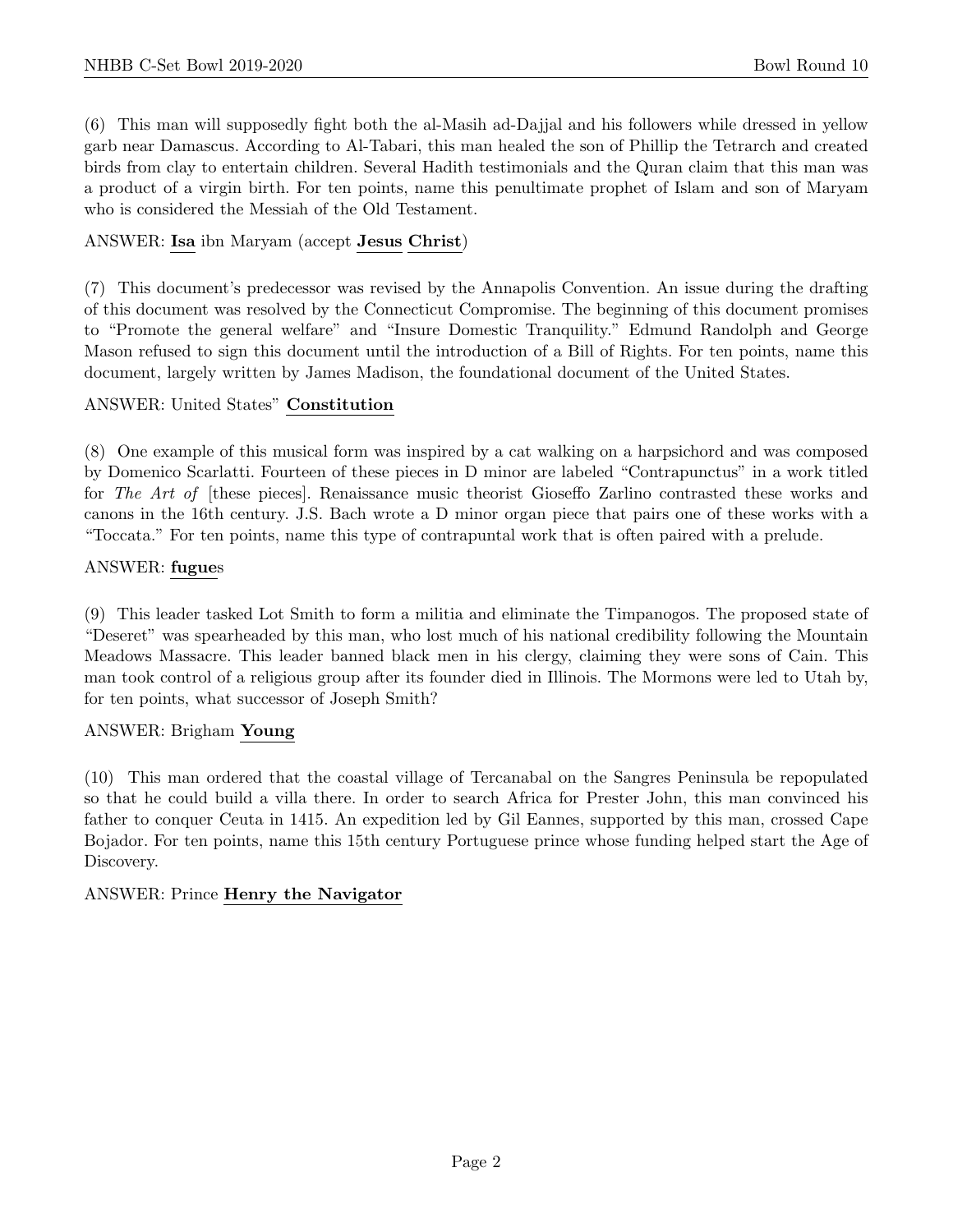(6) This man will supposedly fight both the al-Masih ad-Dajjal and his followers while dressed in yellow garb near Damascus. According to Al-Tabari, this man healed the son of Phillip the Tetrarch and created birds from clay to entertain children. Several Hadith testimonials and the Quran claim that this man was a product of a virgin birth. For ten points, name this penultimate prophet of Islam and son of Maryam who is considered the Messiah of the Old Testament.

# ANSWER: Isa ibn Maryam (accept Jesus Christ)

(7) This document's predecessor was revised by the Annapolis Convention. An issue during the drafting of this document was resolved by the Connecticut Compromise. The beginning of this document promises to "Promote the general welfare" and "Insure Domestic Tranquility." Edmund Randolph and George Mason refused to sign this document until the introduction of a Bill of Rights. For ten points, name this document, largely written by James Madison, the foundational document of the United States.

# ANSWER: United States" Constitution

(8) One example of this musical form was inspired by a cat walking on a harpsichord and was composed by Domenico Scarlatti. Fourteen of these pieces in D minor are labeled "Contrapunctus" in a work titled for The Art of [these pieces]. Renaissance music theorist Gioseffo Zarlino contrasted these works and canons in the 16th century. J.S. Bach wrote a D minor organ piece that pairs one of these works with a "Toccata." For ten points, name this type of contrapuntal work that is often paired with a prelude.

# ANSWER: fugues

(9) This leader tasked Lot Smith to form a militia and eliminate the Timpanogos. The proposed state of "Deseret" was spearheaded by this man, who lost much of his national credibility following the Mountain Meadows Massacre. This leader banned black men in his clergy, claiming they were sons of Cain. This man took control of a religious group after its founder died in Illinois. The Mormons were led to Utah by, for ten points, what successor of Joseph Smith?

# ANSWER: Brigham Young

(10) This man ordered that the coastal village of Tercanabal on the Sangres Peninsula be repopulated so that he could build a villa there. In order to search Africa for Prester John, this man convinced his father to conquer Ceuta in 1415. An expedition led by Gil Eannes, supported by this man, crossed Cape Bojador. For ten points, name this 15th century Portuguese prince whose funding helped start the Age of Discovery.

# ANSWER: Prince Henry the Navigator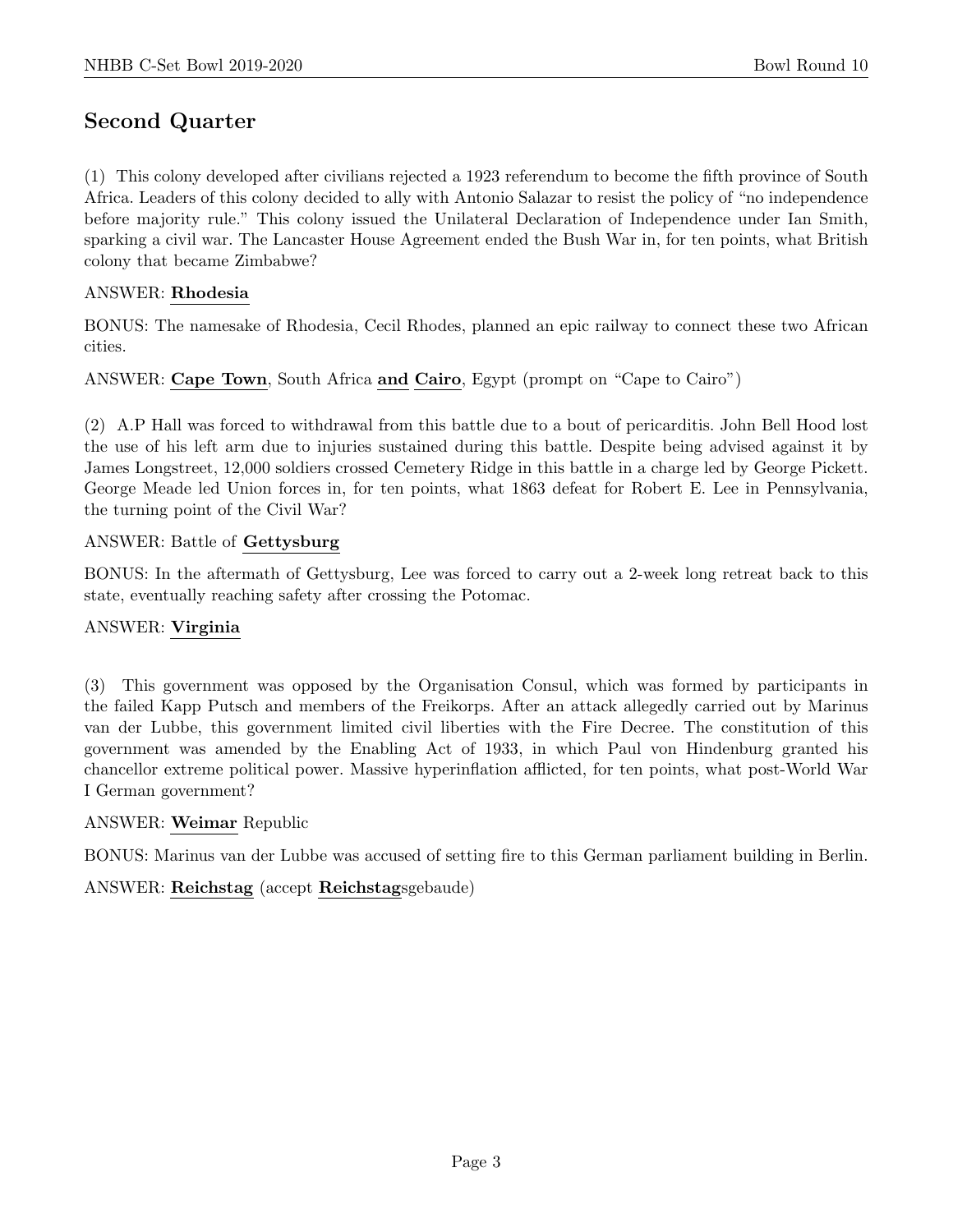# Second Quarter

(1) This colony developed after civilians rejected a 1923 referendum to become the fifth province of South Africa. Leaders of this colony decided to ally with Antonio Salazar to resist the policy of "no independence before majority rule." This colony issued the Unilateral Declaration of Independence under Ian Smith, sparking a civil war. The Lancaster House Agreement ended the Bush War in, for ten points, what British colony that became Zimbabwe?

## ANSWER: Rhodesia

BONUS: The namesake of Rhodesia, Cecil Rhodes, planned an epic railway to connect these two African cities.

ANSWER: Cape Town, South Africa and Cairo, Egypt (prompt on "Cape to Cairo")

(2) A.P Hall was forced to withdrawal from this battle due to a bout of pericarditis. John Bell Hood lost the use of his left arm due to injuries sustained during this battle. Despite being advised against it by James Longstreet, 12,000 soldiers crossed Cemetery Ridge in this battle in a charge led by George Pickett. George Meade led Union forces in, for ten points, what 1863 defeat for Robert E. Lee in Pennsylvania, the turning point of the Civil War?

#### ANSWER: Battle of Gettysburg

BONUS: In the aftermath of Gettysburg, Lee was forced to carry out a 2-week long retreat back to this state, eventually reaching safety after crossing the Potomac.

# ANSWER: Virginia

(3) This government was opposed by the Organisation Consul, which was formed by participants in the failed Kapp Putsch and members of the Freikorps. After an attack allegedly carried out by Marinus van der Lubbe, this government limited civil liberties with the Fire Decree. The constitution of this government was amended by the Enabling Act of 1933, in which Paul von Hindenburg granted his chancellor extreme political power. Massive hyperinflation afflicted, for ten points, what post-World War I German government?

#### ANSWER: Weimar Republic

BONUS: Marinus van der Lubbe was accused of setting fire to this German parliament building in Berlin.

# ANSWER: Reichstag (accept Reichstagsgebaude)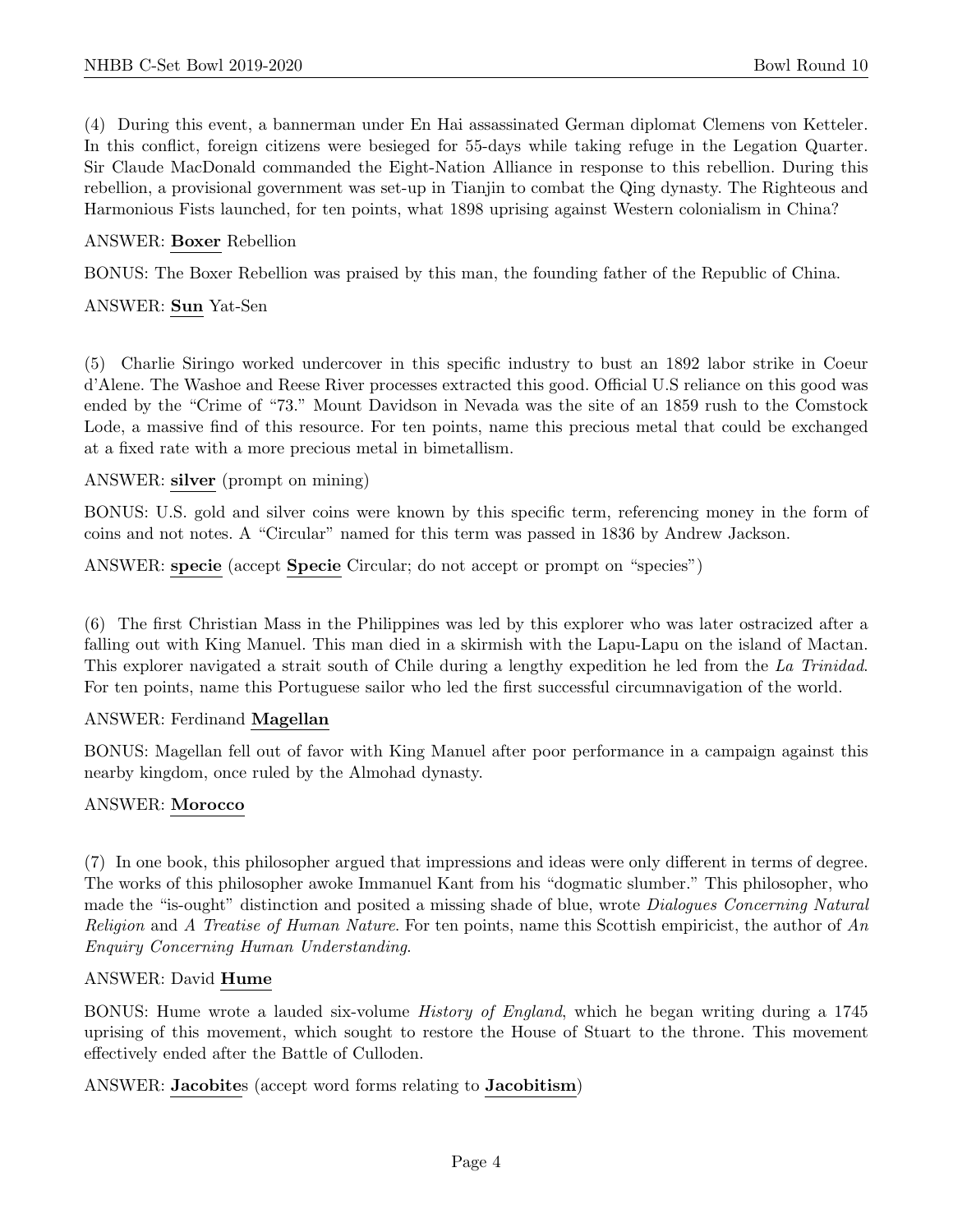(4) During this event, a bannerman under En Hai assassinated German diplomat Clemens von Ketteler. In this conflict, foreign citizens were besieged for 55-days while taking refuge in the Legation Quarter. Sir Claude MacDonald commanded the Eight-Nation Alliance in response to this rebellion. During this rebellion, a provisional government was set-up in Tianjin to combat the Qing dynasty. The Righteous and Harmonious Fists launched, for ten points, what 1898 uprising against Western colonialism in China?

#### ANSWER: Boxer Rebellion

BONUS: The Boxer Rebellion was praised by this man, the founding father of the Republic of China.

#### ANSWER: Sun Yat-Sen

(5) Charlie Siringo worked undercover in this specific industry to bust an 1892 labor strike in Coeur d'Alene. The Washoe and Reese River processes extracted this good. Official U.S reliance on this good was ended by the "Crime of "73." Mount Davidson in Nevada was the site of an 1859 rush to the Comstock Lode, a massive find of this resource. For ten points, name this precious metal that could be exchanged at a fixed rate with a more precious metal in bimetallism.

#### ANSWER: silver (prompt on mining)

BONUS: U.S. gold and silver coins were known by this specific term, referencing money in the form of coins and not notes. A "Circular" named for this term was passed in 1836 by Andrew Jackson.

ANSWER: specie (accept Specie Circular; do not accept or prompt on "species")

(6) The first Christian Mass in the Philippines was led by this explorer who was later ostracized after a falling out with King Manuel. This man died in a skirmish with the Lapu-Lapu on the island of Mactan. This explorer navigated a strait south of Chile during a lengthy expedition he led from the La Trinidad. For ten points, name this Portuguese sailor who led the first successful circumnavigation of the world.

#### ANSWER: Ferdinand Magellan

BONUS: Magellan fell out of favor with King Manuel after poor performance in a campaign against this nearby kingdom, once ruled by the Almohad dynasty.

#### ANSWER: Morocco

(7) In one book, this philosopher argued that impressions and ideas were only different in terms of degree. The works of this philosopher awoke Immanuel Kant from his "dogmatic slumber." This philosopher, who made the "is-ought" distinction and posited a missing shade of blue, wrote Dialogues Concerning Natural Religion and A Treatise of Human Nature. For ten points, name this Scottish empiricist, the author of  $An$ Enquiry Concerning Human Understanding.

#### ANSWER: David Hume

BONUS: Hume wrote a lauded six-volume History of England, which he began writing during a 1745 uprising of this movement, which sought to restore the House of Stuart to the throne. This movement effectively ended after the Battle of Culloden.

# ANSWER: Jacobites (accept word forms relating to Jacobitism)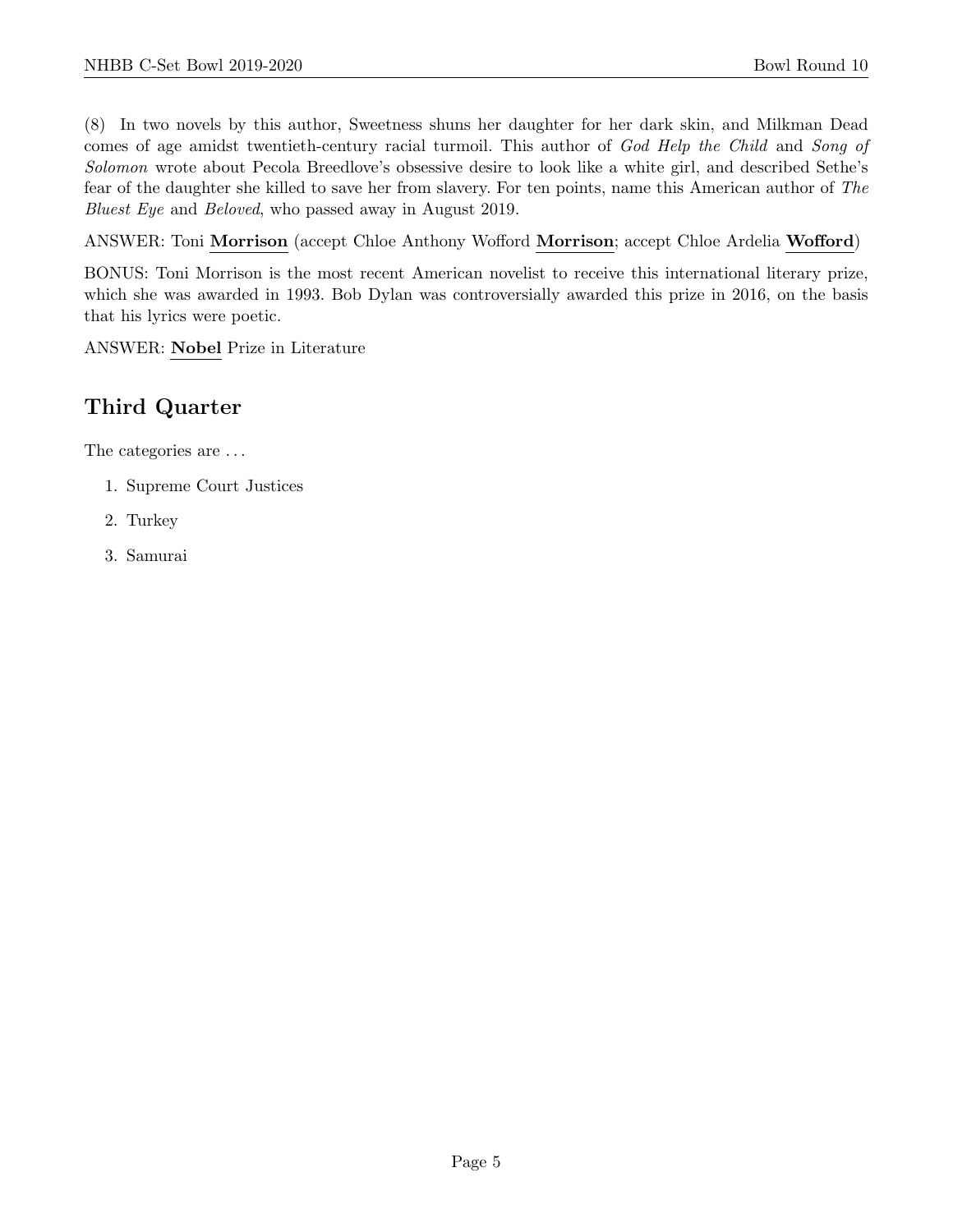(8) In two novels by this author, Sweetness shuns her daughter for her dark skin, and Milkman Dead comes of age amidst twentieth-century racial turmoil. This author of God Help the Child and Song of Solomon wrote about Pecola Breedlove's obsessive desire to look like a white girl, and described Sethe's fear of the daughter she killed to save her from slavery. For ten points, name this American author of The Bluest Eye and Beloved, who passed away in August 2019.

ANSWER: Toni Morrison (accept Chloe Anthony Wofford Morrison; accept Chloe Ardelia Wofford)

BONUS: Toni Morrison is the most recent American novelist to receive this international literary prize, which she was awarded in 1993. Bob Dylan was controversially awarded this prize in 2016, on the basis that his lyrics were poetic.

ANSWER: Nobel Prize in Literature

# Third Quarter

The categories are . . .

- 1. Supreme Court Justices
- 2. Turkey
- 3. Samurai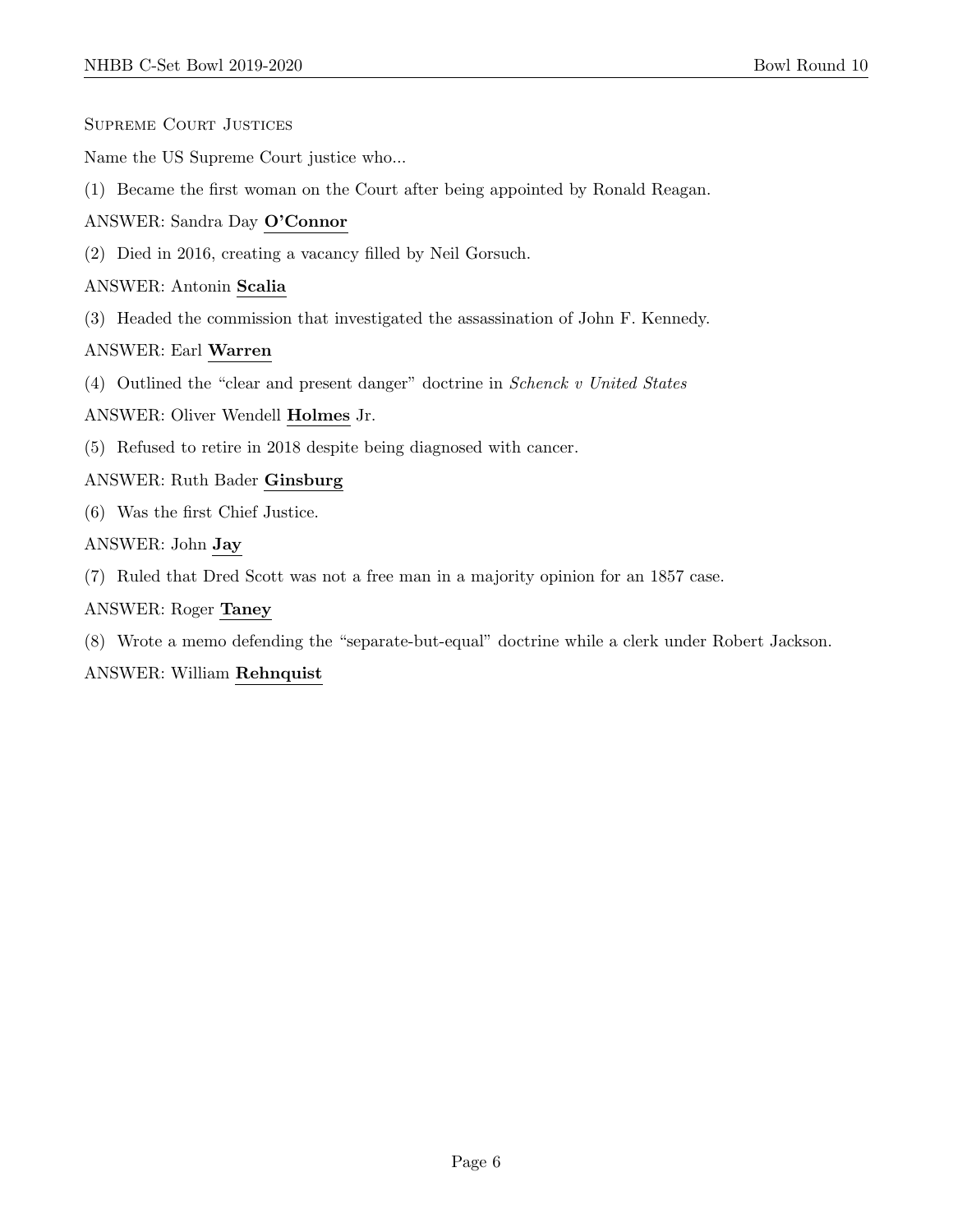- Supreme Court Justices
- Name the US Supreme Court justice who...
- (1) Became the first woman on the Court after being appointed by Ronald Reagan.

#### ANSWER: Sandra Day O'Connor

(2) Died in 2016, creating a vacancy filled by Neil Gorsuch.

#### ANSWER: Antonin Scalia

(3) Headed the commission that investigated the assassination of John F. Kennedy.

#### ANSWER: Earl Warren

(4) Outlined the "clear and present danger" doctrine in Schenck v United States

#### ANSWER: Oliver Wendell Holmes Jr.

(5) Refused to retire in 2018 despite being diagnosed with cancer.

#### ANSWER: Ruth Bader Ginsburg

(6) Was the first Chief Justice.

#### ANSWER: John Jay

(7) Ruled that Dred Scott was not a free man in a majority opinion for an 1857 case.

#### ANSWER: Roger Taney

(8) Wrote a memo defending the "separate-but-equal" doctrine while a clerk under Robert Jackson.

#### ANSWER: William Rehnquist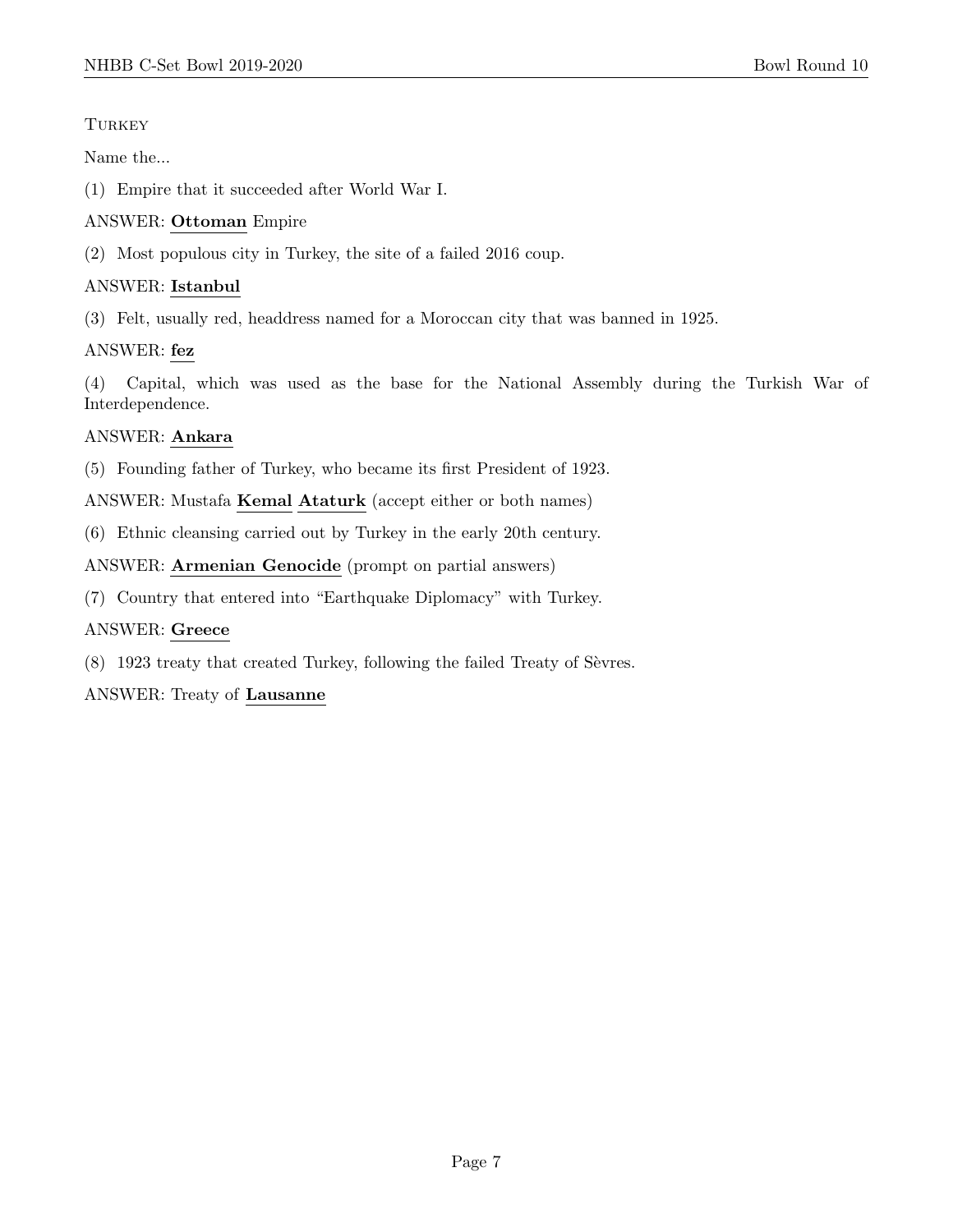# **TURKEY**

Name the...

(1) Empire that it succeeded after World War I.

# ANSWER: Ottoman Empire

(2) Most populous city in Turkey, the site of a failed 2016 coup.

# ANSWER: Istanbul

(3) Felt, usually red, headdress named for a Moroccan city that was banned in 1925.

# ANSWER: fez

(4) Capital, which was used as the base for the National Assembly during the Turkish War of Interdependence.

# ANSWER: Ankara

(5) Founding father of Turkey, who became its first President of 1923.

ANSWER: Mustafa Kemal Ataturk (accept either or both names)

(6) Ethnic cleansing carried out by Turkey in the early 20th century.

# ANSWER: Armenian Genocide (prompt on partial answers)

(7) Country that entered into "Earthquake Diplomacy" with Turkey.

# ANSWER: Greece

 $(8)$  1923 treaty that created Turkey, following the failed Treaty of Sèvres.

# ANSWER: Treaty of Lausanne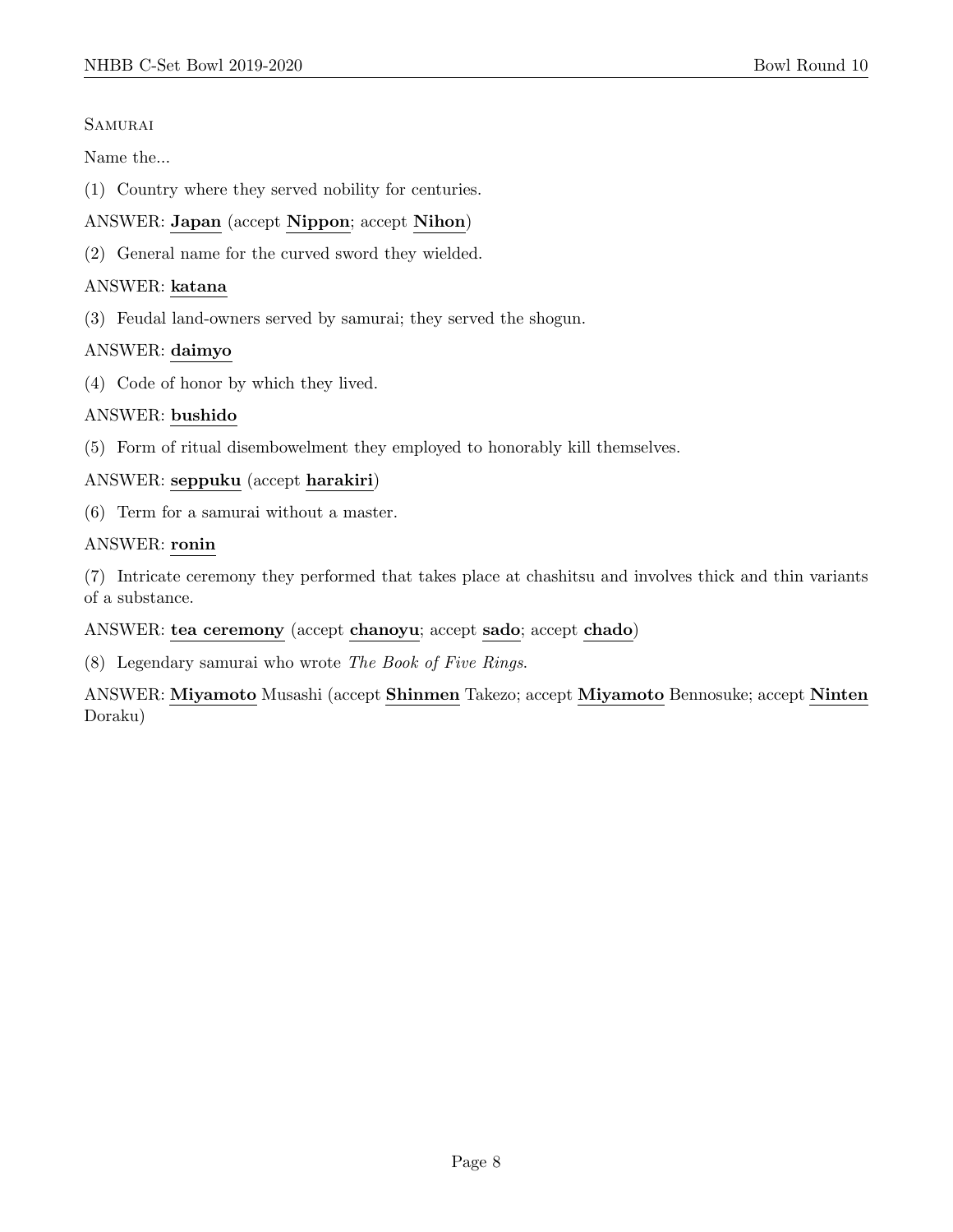#### **SAMURAI**

Name the...

(1) Country where they served nobility for centuries.

# ANSWER: Japan (accept Nippon; accept Nihon)

(2) General name for the curved sword they wielded.

## ANSWER: katana

(3) Feudal land-owners served by samurai; they served the shogun.

# ANSWER: daimyo

(4) Code of honor by which they lived.

# ANSWER: bushido

(5) Form of ritual disembowelment they employed to honorably kill themselves.

# ANSWER: seppuku (accept harakiri)

(6) Term for a samurai without a master.

#### ANSWER: ronin

(7) Intricate ceremony they performed that takes place at chashitsu and involves thick and thin variants of a substance.

#### ANSWER: tea ceremony (accept chanoyu; accept sado; accept chado)

(8) Legendary samurai who wrote The Book of Five Rings.

ANSWER: Miyamoto Musashi (accept Shinmen Takezo; accept Miyamoto Bennosuke; accept Ninten Doraku)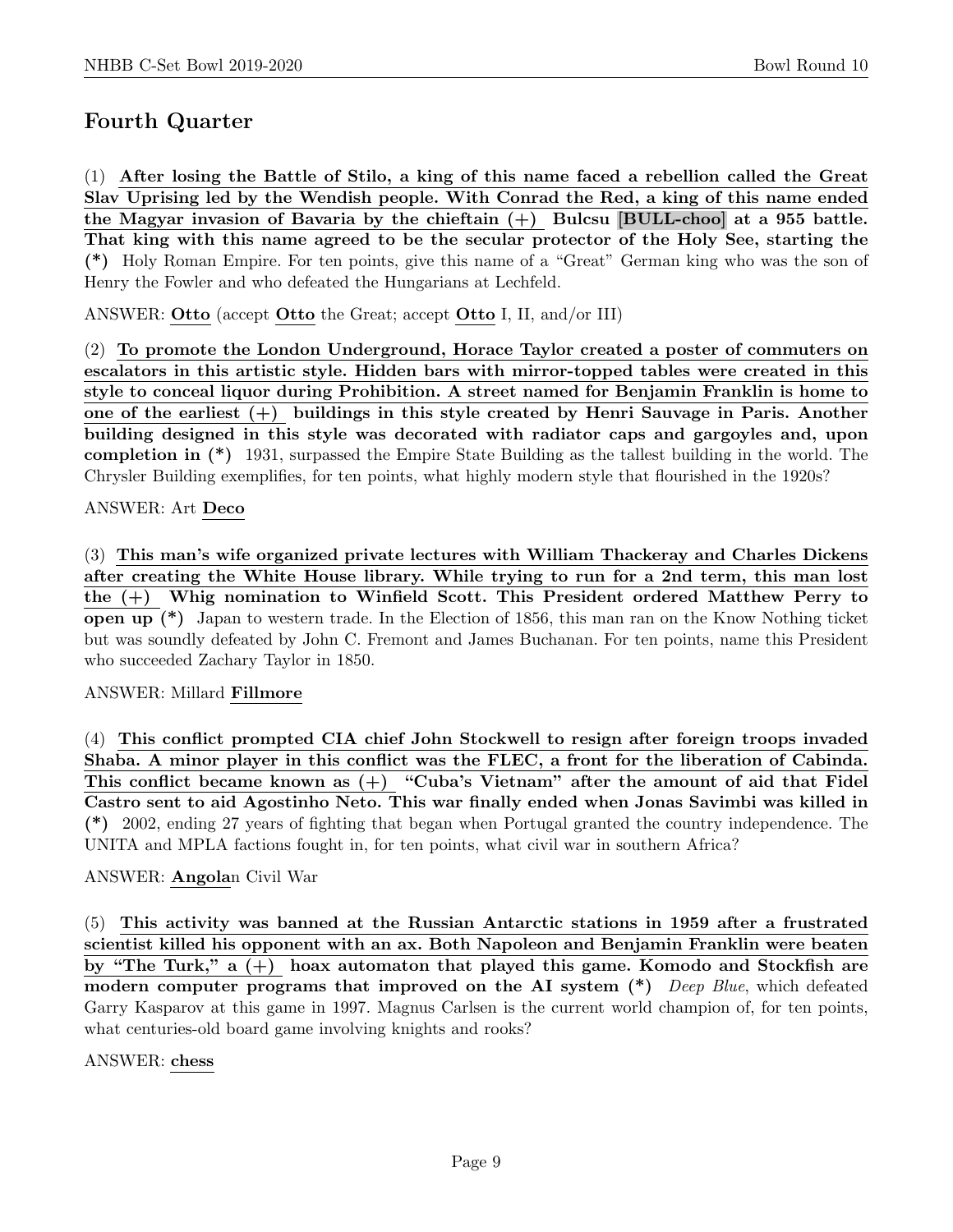# Fourth Quarter

(1) After losing the Battle of Stilo, a king of this name faced a rebellion called the Great Slav Uprising led by the Wendish people. With Conrad the Red, a king of this name ended the Magyar invasion of Bavaria by the chieftain  $(+)$  Bulcsu [BULL-choo] at a 955 battle. That king with this name agreed to be the secular protector of the Holy See, starting the (\*) Holy Roman Empire. For ten points, give this name of a "Great" German king who was the son of Henry the Fowler and who defeated the Hungarians at Lechfeld.

ANSWER: Otto (accept Otto the Great; accept Otto I, II, and/or III)

(2) To promote the London Underground, Horace Taylor created a poster of commuters on escalators in this artistic style. Hidden bars with mirror-topped tables were created in this style to conceal liquor during Prohibition. A street named for Benjamin Franklin is home to one of the earliest (+) buildings in this style created by Henri Sauvage in Paris. Another building designed in this style was decorated with radiator caps and gargoyles and, upon completion in (\*) 1931, surpassed the Empire State Building as the tallest building in the world. The Chrysler Building exemplifies, for ten points, what highly modern style that flourished in the 1920s?

# ANSWER: Art Deco

(3) This man's wife organized private lectures with William Thackeray and Charles Dickens after creating the White House library. While trying to run for a 2nd term, this man lost the (+) Whig nomination to Winfield Scott. This President ordered Matthew Perry to open up (\*) Japan to western trade. In the Election of 1856, this man ran on the Know Nothing ticket but was soundly defeated by John C. Fremont and James Buchanan. For ten points, name this President who succeeded Zachary Taylor in 1850.

#### ANSWER: Millard Fillmore

(4) This conflict prompted CIA chief John Stockwell to resign after foreign troops invaded Shaba. A minor player in this conflict was the FLEC, a front for the liberation of Cabinda. This conflict became known as (+) "Cuba's Vietnam" after the amount of aid that Fidel Castro sent to aid Agostinho Neto. This war finally ended when Jonas Savimbi was killed in (\*) 2002, ending 27 years of fighting that began when Portugal granted the country independence. The UNITA and MPLA factions fought in, for ten points, what civil war in southern Africa?

# ANSWER: Angolan Civil War

(5) This activity was banned at the Russian Antarctic stations in 1959 after a frustrated scientist killed his opponent with an ax. Both Napoleon and Benjamin Franklin were beaten by "The Turk," a (+) hoax automaton that played this game. Komodo and Stockfish are modern computer programs that improved on the AI system  $(*)$  Deep Blue, which defeated Garry Kasparov at this game in 1997. Magnus Carlsen is the current world champion of, for ten points, what centuries-old board game involving knights and rooks?

#### ANSWER: chess